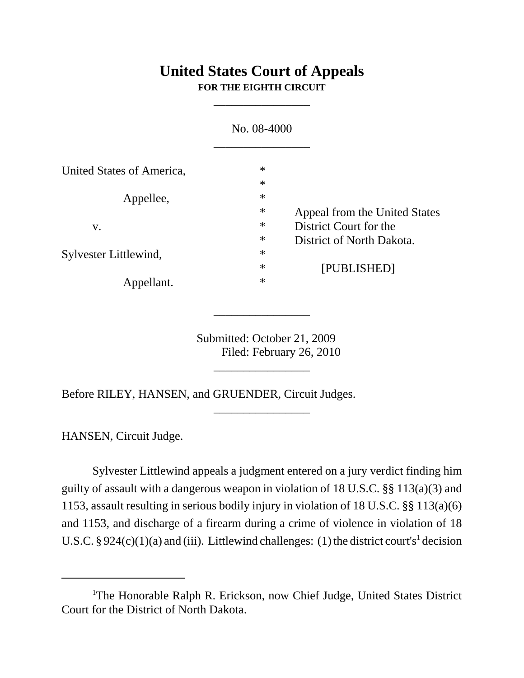## **United States Court of Appeals FOR THE EIGHTH CIRCUIT**

\_\_\_\_\_\_\_\_\_\_\_\_\_\_\_\_

|                           | No. 08-4000 |                               |
|---------------------------|-------------|-------------------------------|
| United States of America, | $\ast$      |                               |
|                           | $\ast$      |                               |
| Appellee,                 | $\ast$      |                               |
|                           | $\ast$      | Appeal from the United States |
| V.                        | $\ast$      | District Court for the        |
| Sylvester Littlewind,     | $\ast$      | District of North Dakota.     |
|                           | $\ast$      |                               |
|                           | $\ast$      | [PUBLISHED]                   |
| Appellant.                | $\ast$      |                               |

 Submitted: October 21, 2009 Filed: February 26, 2010

\_\_\_\_\_\_\_\_\_\_\_\_\_\_\_\_

\_\_\_\_\_\_\_\_\_\_\_\_\_\_\_\_

\_\_\_\_\_\_\_\_\_\_\_\_\_\_\_\_

Before RILEY, HANSEN, and GRUENDER, Circuit Judges.

HANSEN, Circuit Judge.

Sylvester Littlewind appeals a judgment entered on a jury verdict finding him guilty of assault with a dangerous weapon in violation of 18 U.S.C. §§ 113(a)(3) and 1153, assault resulting in serious bodily injury in violation of 18 U.S.C. §§ 113(a)(6) and 1153, and discharge of a firearm during a crime of violence in violation of 18 U.S.C. § 924(c)(1)(a) and (iii). Littlewind challenges: (1) the district court's<sup>1</sup> decision

<sup>&</sup>lt;sup>1</sup>The Honorable Ralph R. Erickson, now Chief Judge, United States District Court for the District of North Dakota.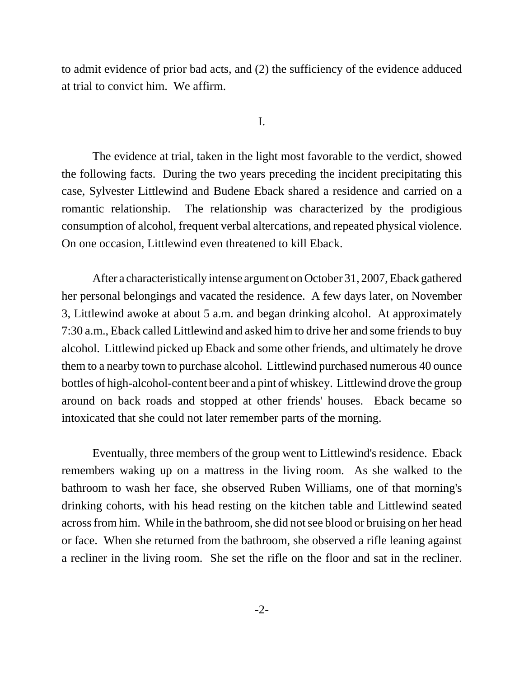to admit evidence of prior bad acts, and (2) the sufficiency of the evidence adduced at trial to convict him. We affirm.

I.

The evidence at trial, taken in the light most favorable to the verdict, showed the following facts. During the two years preceding the incident precipitating this case, Sylvester Littlewind and Budene Eback shared a residence and carried on a romantic relationship. The relationship was characterized by the prodigious consumption of alcohol, frequent verbal altercations, and repeated physical violence. On one occasion, Littlewind even threatened to kill Eback.

After a characteristically intense argument on October 31, 2007, Eback gathered her personal belongings and vacated the residence. A few days later, on November 3, Littlewind awoke at about 5 a.m. and began drinking alcohol. At approximately 7:30 a.m., Eback called Littlewind and asked him to drive her and some friends to buy alcohol. Littlewind picked up Eback and some other friends, and ultimately he drove them to a nearby town to purchase alcohol. Littlewind purchased numerous 40 ounce bottles of high-alcohol-content beer and a pint of whiskey. Littlewind drove the group around on back roads and stopped at other friends' houses. Eback became so intoxicated that she could not later remember parts of the morning.

Eventually, three members of the group went to Littlewind's residence. Eback remembers waking up on a mattress in the living room. As she walked to the bathroom to wash her face, she observed Ruben Williams, one of that morning's drinking cohorts, with his head resting on the kitchen table and Littlewind seated across from him. While in the bathroom, she did not see blood or bruising on her head or face. When she returned from the bathroom, she observed a rifle leaning against a recliner in the living room. She set the rifle on the floor and sat in the recliner.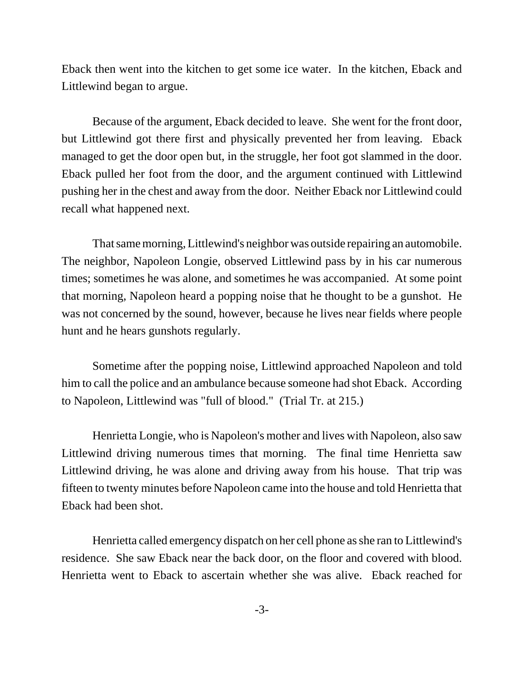Eback then went into the kitchen to get some ice water. In the kitchen, Eback and Littlewind began to argue.

Because of the argument, Eback decided to leave. She went for the front door, but Littlewind got there first and physically prevented her from leaving. Eback managed to get the door open but, in the struggle, her foot got slammed in the door. Eback pulled her foot from the door, and the argument continued with Littlewind pushing her in the chest and away from the door. Neither Eback nor Littlewind could recall what happened next.

That same morning, Littlewind's neighbor was outside repairing an automobile. The neighbor, Napoleon Longie, observed Littlewind pass by in his car numerous times; sometimes he was alone, and sometimes he was accompanied. At some point that morning, Napoleon heard a popping noise that he thought to be a gunshot. He was not concerned by the sound, however, because he lives near fields where people hunt and he hears gunshots regularly.

Sometime after the popping noise, Littlewind approached Napoleon and told him to call the police and an ambulance because someone had shot Eback. According to Napoleon, Littlewind was "full of blood." (Trial Tr. at 215.)

Henrietta Longie, who is Napoleon's mother and lives with Napoleon, also saw Littlewind driving numerous times that morning. The final time Henrietta saw Littlewind driving, he was alone and driving away from his house. That trip was fifteen to twenty minutes before Napoleon came into the house and told Henrietta that Eback had been shot.

Henrietta called emergency dispatch on her cell phone as she ran to Littlewind's residence. She saw Eback near the back door, on the floor and covered with blood. Henrietta went to Eback to ascertain whether she was alive. Eback reached for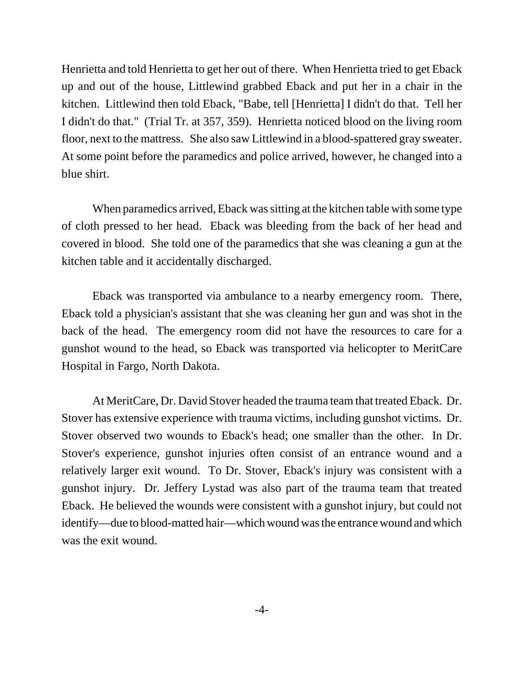Henrietta and told Henrietta to get her out of there. When Henrietta tried to get Eback up and out of the house, Littlewind grabbed Eback and put her in a chair in the kitchen. Littlewind then told Eback, "Babe, tell [Henrietta] I didn't do that. Tell her I didn't do that." (Trial Tr. at 357, 359). Henrietta noticed blood on the living room floor, next to the mattress. She also saw Littlewind in a blood-spattered gray sweater. At some point before the paramedics and police arrived, however, he changed into a blue shirt.

When paramedics arrived, Eback was sitting at the kitchen table with some type of cloth pressed to her head. Eback was bleeding from the back of her head and covered in blood. She told one of the paramedics that she was cleaning a gun at the kitchen table and it accidentally discharged.

Eback was transported via ambulance to a nearby emergency room. There, Eback told a physician's assistant that she was cleaning her gun and was shot in the back of the head. The emergency room did not have the resources to care for a gunshot wound to the head, so Eback was transported via helicopter to MeritCare Hospital in Fargo, North Dakota.

At MeritCare, Dr. David Stover headed the trauma team that treated Eback. Dr. Stover has extensive experience with trauma victims, including gunshot victims. Dr. Stover observed two wounds to Eback's head; one smaller than the other. In Dr. Stover's experience, gunshot injuries often consist of an entrance wound and a relatively larger exit wound. To Dr. Stover, Eback's injury was consistent with a gunshot injury. Dr. Jeffery Lystad was also part of the trauma team that treated Eback. He believed the wounds were consistent with a gunshot injury, but could not identify—due to blood-matted hair—which wound was the entrance wound and which was the exit wound.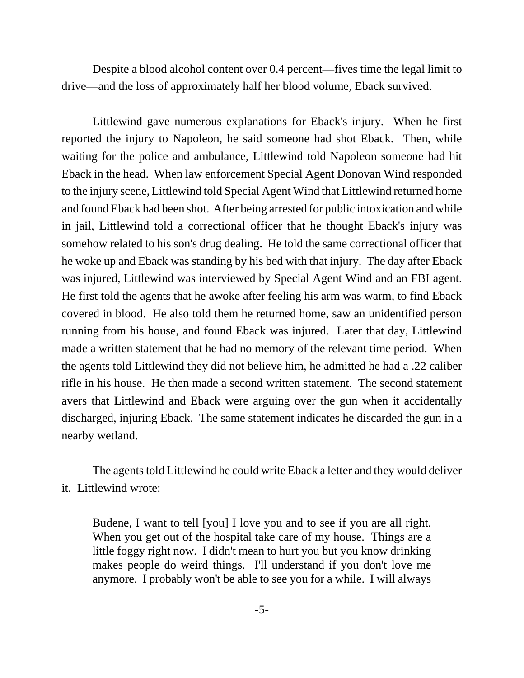Despite a blood alcohol content over 0.4 percent—fives time the legal limit to drive—and the loss of approximately half her blood volume, Eback survived.

Littlewind gave numerous explanations for Eback's injury. When he first reported the injury to Napoleon, he said someone had shot Eback. Then, while waiting for the police and ambulance, Littlewind told Napoleon someone had hit Eback in the head. When law enforcement Special Agent Donovan Wind responded to the injury scene, Littlewind told Special Agent Wind that Littlewind returned home and found Eback had been shot. After being arrested for public intoxication and while in jail, Littlewind told a correctional officer that he thought Eback's injury was somehow related to his son's drug dealing. He told the same correctional officer that he woke up and Eback was standing by his bed with that injury. The day after Eback was injured, Littlewind was interviewed by Special Agent Wind and an FBI agent. He first told the agents that he awoke after feeling his arm was warm, to find Eback covered in blood. He also told them he returned home, saw an unidentified person running from his house, and found Eback was injured. Later that day, Littlewind made a written statement that he had no memory of the relevant time period. When the agents told Littlewind they did not believe him, he admitted he had a .22 caliber rifle in his house. He then made a second written statement. The second statement avers that Littlewind and Eback were arguing over the gun when it accidentally discharged, injuring Eback. The same statement indicates he discarded the gun in a nearby wetland.

The agents told Littlewind he could write Eback a letter and they would deliver it. Littlewind wrote:

Budene, I want to tell [you] I love you and to see if you are all right. When you get out of the hospital take care of my house. Things are a little foggy right now. I didn't mean to hurt you but you know drinking makes people do weird things. I'll understand if you don't love me anymore. I probably won't be able to see you for a while. I will always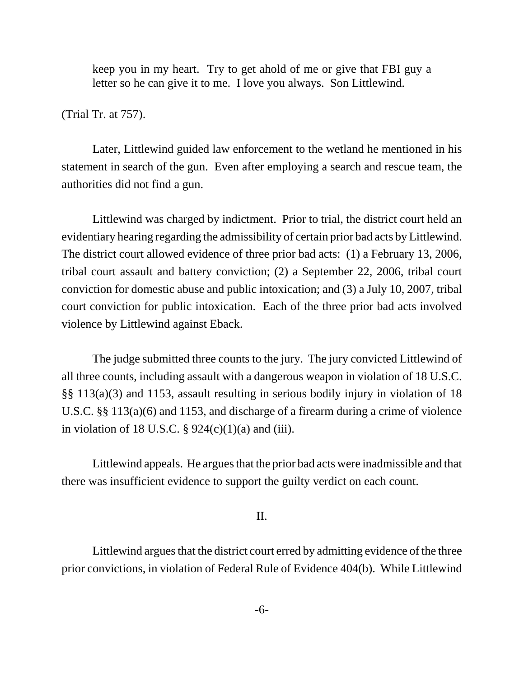keep you in my heart. Try to get ahold of me or give that FBI guy a letter so he can give it to me. I love you always. Son Littlewind.

(Trial Tr. at 757).

Later, Littlewind guided law enforcement to the wetland he mentioned in his statement in search of the gun. Even after employing a search and rescue team, the authorities did not find a gun.

Littlewind was charged by indictment. Prior to trial, the district court held an evidentiary hearing regarding the admissibility of certain prior bad acts by Littlewind. The district court allowed evidence of three prior bad acts: (1) a February 13, 2006, tribal court assault and battery conviction; (2) a September 22, 2006, tribal court conviction for domestic abuse and public intoxication; and (3) a July 10, 2007, tribal court conviction for public intoxication. Each of the three prior bad acts involved violence by Littlewind against Eback.

The judge submitted three counts to the jury. The jury convicted Littlewind of all three counts, including assault with a dangerous weapon in violation of 18 U.S.C. §§ 113(a)(3) and 1153, assault resulting in serious bodily injury in violation of 18 U.S.C. §§ 113(a)(6) and 1153, and discharge of a firearm during a crime of violence in violation of 18 U.S.C.  $\S$  924(c)(1)(a) and (iii).

Littlewind appeals. He argues that the prior bad acts were inadmissible and that there was insufficient evidence to support the guilty verdict on each count.

## II.

Littlewind argues that the district court erred by admitting evidence of the three prior convictions, in violation of Federal Rule of Evidence 404(b). While Littlewind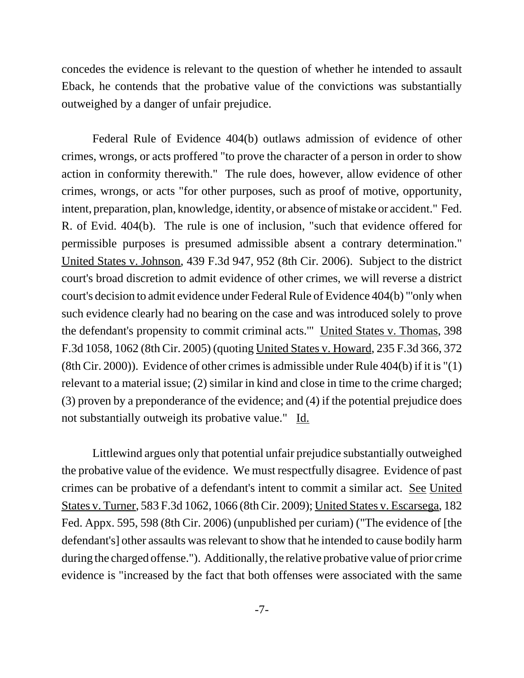concedes the evidence is relevant to the question of whether he intended to assault Eback, he contends that the probative value of the convictions was substantially outweighed by a danger of unfair prejudice.

Federal Rule of Evidence 404(b) outlaws admission of evidence of other crimes, wrongs, or acts proffered "to prove the character of a person in order to show action in conformity therewith." The rule does, however, allow evidence of other crimes, wrongs, or acts "for other purposes, such as proof of motive, opportunity, intent, preparation, plan, knowledge, identity, or absence of mistake or accident." Fed. R. of Evid. 404(b). The rule is one of inclusion, "such that evidence offered for permissible purposes is presumed admissible absent a contrary determination." United States v. Johnson, 439 F.3d 947, 952 (8th Cir. 2006). Subject to the district court's broad discretion to admit evidence of other crimes, we will reverse a district court's decision to admit evidence under Federal Rule of Evidence 404(b) "'only when such evidence clearly had no bearing on the case and was introduced solely to prove the defendant's propensity to commit criminal acts.'" United States v. Thomas, 398 F.3d 1058, 1062 (8th Cir. 2005) (quoting United States v. Howard, 235 F.3d 366, 372 (8th Cir. 2000)). Evidence of other crimes is admissible under Rule 404(b) if it is "(1) relevant to a material issue; (2) similar in kind and close in time to the crime charged; (3) proven by a preponderance of the evidence; and (4) if the potential prejudice does not substantially outweigh its probative value." Id.

Littlewind argues only that potential unfair prejudice substantially outweighed the probative value of the evidence. We must respectfully disagree. Evidence of past crimes can be probative of a defendant's intent to commit a similar act. See United States v. Turner, 583 F.3d 1062, 1066 (8th Cir. 2009); United States v. Escarsega, 182 Fed. Appx. 595, 598 (8th Cir. 2006) (unpublished per curiam) ("The evidence of [the defendant's] other assaults was relevant to show that he intended to cause bodily harm during the charged offense."). Additionally, the relative probative value of prior crime evidence is "increased by the fact that both offenses were associated with the same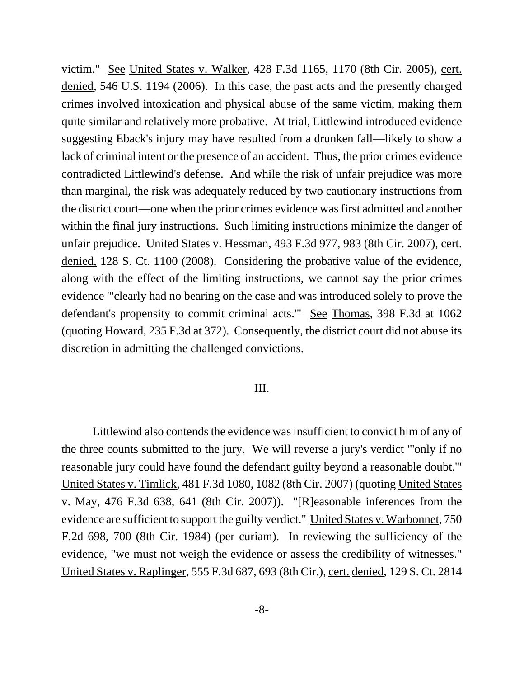victim." See United States v. Walker, 428 F.3d 1165, 1170 (8th Cir. 2005), cert. denied, 546 U.S. 1194 (2006). In this case, the past acts and the presently charged crimes involved intoxication and physical abuse of the same victim, making them quite similar and relatively more probative. At trial, Littlewind introduced evidence suggesting Eback's injury may have resulted from a drunken fall—likely to show a lack of criminal intent or the presence of an accident. Thus, the prior crimes evidence contradicted Littlewind's defense. And while the risk of unfair prejudice was more than marginal, the risk was adequately reduced by two cautionary instructions from the district court—one when the prior crimes evidence was first admitted and another within the final jury instructions. Such limiting instructions minimize the danger of unfair prejudice. United States v. Hessman, 493 F.3d 977, 983 (8th Cir. 2007), cert. denied, 128 S. Ct. 1100 (2008). Considering the probative value of the evidence, along with the effect of the limiting instructions, we cannot say the prior crimes evidence "'clearly had no bearing on the case and was introduced solely to prove the defendant's propensity to commit criminal acts.'" See Thomas, 398 F.3d at 1062 (quoting Howard, 235 F.3d at 372). Consequently, the district court did not abuse its discretion in admitting the challenged convictions.

## III.

Littlewind also contends the evidence was insufficient to convict him of any of the three counts submitted to the jury. We will reverse a jury's verdict "'only if no reasonable jury could have found the defendant guilty beyond a reasonable doubt.'" United States v. Timlick, 481 F.3d 1080, 1082 (8th Cir. 2007) (quoting United States v. May, 476 F.3d 638, 641 (8th Cir. 2007)). "[R]easonable inferences from the evidence are sufficient to support the guilty verdict." United States v. Warbonnet, 750 F.2d 698, 700 (8th Cir. 1984) (per curiam). In reviewing the sufficiency of the evidence, "we must not weigh the evidence or assess the credibility of witnesses." United States v. Raplinger, 555 F.3d 687, 693 (8th Cir.), cert. denied, 129 S. Ct. 2814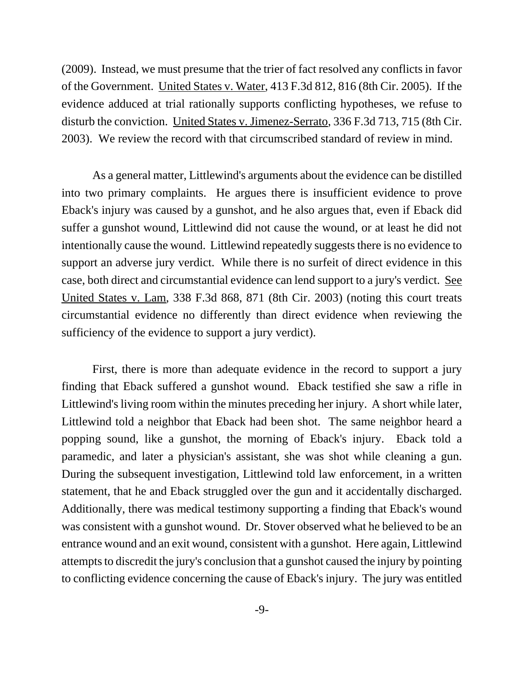(2009). Instead, we must presume that the trier of fact resolved any conflicts in favor of the Government. United States v. Water, 413 F.3d 812, 816 (8th Cir. 2005). If the evidence adduced at trial rationally supports conflicting hypotheses, we refuse to disturb the conviction. United States v. Jimenez-Serrato, 336 F.3d 713, 715 (8th Cir. 2003). We review the record with that circumscribed standard of review in mind.

As a general matter, Littlewind's arguments about the evidence can be distilled into two primary complaints. He argues there is insufficient evidence to prove Eback's injury was caused by a gunshot, and he also argues that, even if Eback did suffer a gunshot wound, Littlewind did not cause the wound, or at least he did not intentionally cause the wound. Littlewind repeatedly suggests there is no evidence to support an adverse jury verdict. While there is no surfeit of direct evidence in this case, both direct and circumstantial evidence can lend support to a jury's verdict. See United States v. Lam, 338 F.3d 868, 871 (8th Cir. 2003) (noting this court treats circumstantial evidence no differently than direct evidence when reviewing the sufficiency of the evidence to support a jury verdict).

First, there is more than adequate evidence in the record to support a jury finding that Eback suffered a gunshot wound. Eback testified she saw a rifle in Littlewind's living room within the minutes preceding her injury. A short while later, Littlewind told a neighbor that Eback had been shot. The same neighbor heard a popping sound, like a gunshot, the morning of Eback's injury. Eback told a paramedic, and later a physician's assistant, she was shot while cleaning a gun. During the subsequent investigation, Littlewind told law enforcement, in a written statement, that he and Eback struggled over the gun and it accidentally discharged. Additionally, there was medical testimony supporting a finding that Eback's wound was consistent with a gunshot wound. Dr. Stover observed what he believed to be an entrance wound and an exit wound, consistent with a gunshot. Here again, Littlewind attempts to discredit the jury's conclusion that a gunshot caused the injury by pointing to conflicting evidence concerning the cause of Eback's injury. The jury was entitled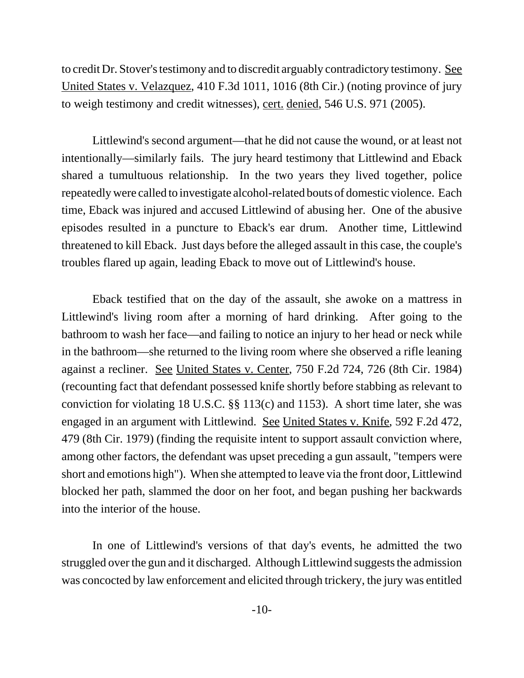to credit Dr. Stover's testimony and to discredit arguably contradictory testimony. See United States v. Velazquez, 410 F.3d 1011, 1016 (8th Cir.) (noting province of jury to weigh testimony and credit witnesses), cert. denied, 546 U.S. 971 (2005).

Littlewind's second argument—that he did not cause the wound, or at least not intentionally—similarly fails. The jury heard testimony that Littlewind and Eback shared a tumultuous relationship. In the two years they lived together, police repeatedly were called to investigate alcohol-related bouts of domestic violence. Each time, Eback was injured and accused Littlewind of abusing her. One of the abusive episodes resulted in a puncture to Eback's ear drum. Another time, Littlewind threatened to kill Eback. Just days before the alleged assault in this case, the couple's troubles flared up again, leading Eback to move out of Littlewind's house.

Eback testified that on the day of the assault, she awoke on a mattress in Littlewind's living room after a morning of hard drinking. After going to the bathroom to wash her face—and failing to notice an injury to her head or neck while in the bathroom—she returned to the living room where she observed a rifle leaning against a recliner. See United States v. Center, 750 F.2d 724, 726 (8th Cir. 1984) (recounting fact that defendant possessed knife shortly before stabbing as relevant to conviction for violating 18 U.S.C. §§ 113(c) and 1153). A short time later, she was engaged in an argument with Littlewind. See United States v. Knife, 592 F.2d 472, 479 (8th Cir. 1979) (finding the requisite intent to support assault conviction where, among other factors, the defendant was upset preceding a gun assault, "tempers were short and emotions high"). When she attempted to leave via the front door, Littlewind blocked her path, slammed the door on her foot, and began pushing her backwards into the interior of the house.

In one of Littlewind's versions of that day's events, he admitted the two struggled over the gun and it discharged. Although Littlewind suggests the admission was concocted by law enforcement and elicited through trickery, the jury was entitled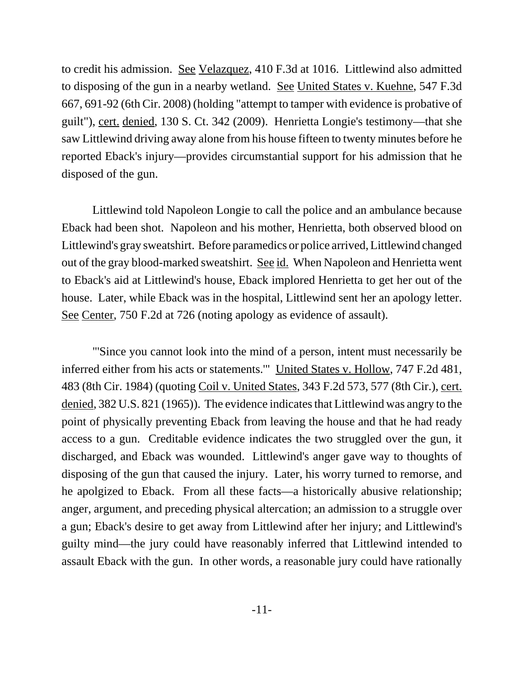to credit his admission. See Velazquez, 410 F.3d at 1016. Littlewind also admitted to disposing of the gun in a nearby wetland. See United States v. Kuehne, 547 F.3d 667, 691-92 (6th Cir. 2008) (holding "attempt to tamper with evidence is probative of guilt"), cert. denied, 130 S. Ct. 342 (2009). Henrietta Longie's testimony—that she saw Littlewind driving away alone from his house fifteen to twenty minutes before he reported Eback's injury—provides circumstantial support for his admission that he disposed of the gun.

Littlewind told Napoleon Longie to call the police and an ambulance because Eback had been shot. Napoleon and his mother, Henrietta, both observed blood on Littlewind's gray sweatshirt. Before paramedics or police arrived, Littlewind changed out of the gray blood-marked sweatshirt. See id. When Napoleon and Henrietta went to Eback's aid at Littlewind's house, Eback implored Henrietta to get her out of the house. Later, while Eback was in the hospital, Littlewind sent her an apology letter. See Center, 750 F.2d at 726 (noting apology as evidence of assault).

"'Since you cannot look into the mind of a person, intent must necessarily be inferred either from his acts or statements.'" United States v. Hollow, 747 F.2d 481, 483 (8th Cir. 1984) (quoting Coil v. United States, 343 F.2d 573, 577 (8th Cir.), cert. denied, 382 U.S. 821 (1965)). The evidence indicates that Littlewind was angry to the point of physically preventing Eback from leaving the house and that he had ready access to a gun. Creditable evidence indicates the two struggled over the gun, it discharged, and Eback was wounded. Littlewind's anger gave way to thoughts of disposing of the gun that caused the injury. Later, his worry turned to remorse, and he apolgized to Eback. From all these facts—a historically abusive relationship; anger, argument, and preceding physical altercation; an admission to a struggle over a gun; Eback's desire to get away from Littlewind after her injury; and Littlewind's guilty mind—the jury could have reasonably inferred that Littlewind intended to assault Eback with the gun. In other words, a reasonable jury could have rationally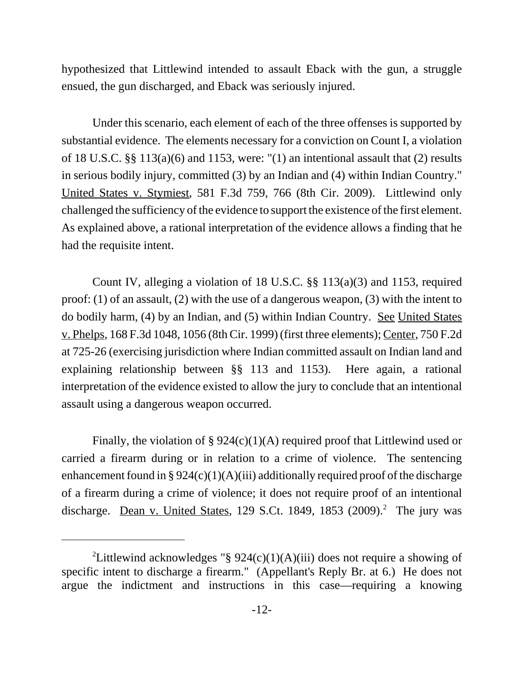hypothesized that Littlewind intended to assault Eback with the gun, a struggle ensued, the gun discharged, and Eback was seriously injured.

Under this scenario, each element of each of the three offenses is supported by substantial evidence. The elements necessary for a conviction on Count I, a violation of 18 U.S.C. §§ 113(a)(6) and 1153, were: "(1) an intentional assault that (2) results in serious bodily injury, committed (3) by an Indian and (4) within Indian Country." United States v. Stymiest, 581 F.3d 759, 766 (8th Cir. 2009). Littlewind only challenged the sufficiency of the evidence to support the existence of the first element. As explained above, a rational interpretation of the evidence allows a finding that he had the requisite intent.

Count IV, alleging a violation of 18 U.S.C. §§ 113(a)(3) and 1153, required proof: (1) of an assault, (2) with the use of a dangerous weapon, (3) with the intent to do bodily harm, (4) by an Indian, and (5) within Indian Country. See United States v. Phelps, 168 F.3d 1048, 1056 (8th Cir. 1999) (first three elements); Center, 750 F.2d at 725-26 (exercising jurisdiction where Indian committed assault on Indian land and explaining relationship between §§ 113 and 1153). Here again, a rational interpretation of the evidence existed to allow the jury to conclude that an intentional assault using a dangerous weapon occurred.

Finally, the violation of  $\S 924(c)(1)(A)$  required proof that Littlewind used or carried a firearm during or in relation to a crime of violence. The sentencing enhancement found in §  $924(c)(1)(A)(iii)$  additionally required proof of the discharge of a firearm during a crime of violence; it does not require proof of an intentional discharge. Dean v. United States, 129 S.Ct. 1849, 1853 (2009).<sup>2</sup> The jury was

<sup>&</sup>lt;sup>2</sup>Littlewind acknowledges "§ 924(c)(1)(A)(iii) does not require a showing of specific intent to discharge a firearm." (Appellant's Reply Br. at 6.) He does not argue the indictment and instructions in this case—requiring a knowing